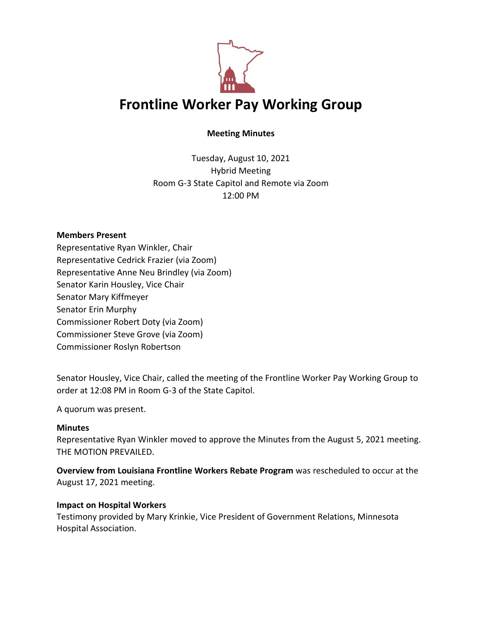

# **Meeting Minutes**

Tuesday, August 10, 2021 Hybrid Meeting Room G-3 State Capitol and Remote via Zoom 12:00 PM

#### **Members Present**

Representative Ryan Winkler, Chair Representative Cedrick Frazier (via Zoom) Representative Anne Neu Brindley (via Zoom) Senator Karin Housley, Vice Chair Senator Mary Kiffmeyer Senator Erin Murphy Commissioner Robert Doty (via Zoom) Commissioner Steve Grove (via Zoom) Commissioner Roslyn Robertson

Senator Housley, Vice Chair, called the meeting of the Frontline Worker Pay Working Group to order at 12:08 PM in Room G-3 of the State Capitol.

A quorum was present.

## **Minutes**

Representative Ryan Winkler moved to approve the Minutes from the August 5, 2021 meeting. THE MOTION PREVAILED.

**Overview from Louisiana Frontline Workers Rebate Program** was rescheduled to occur at the August 17, 2021 meeting.

## **Impact on Hospital Workers**

Testimony provided by Mary Krinkie, Vice President of Government Relations, Minnesota Hospital Association.